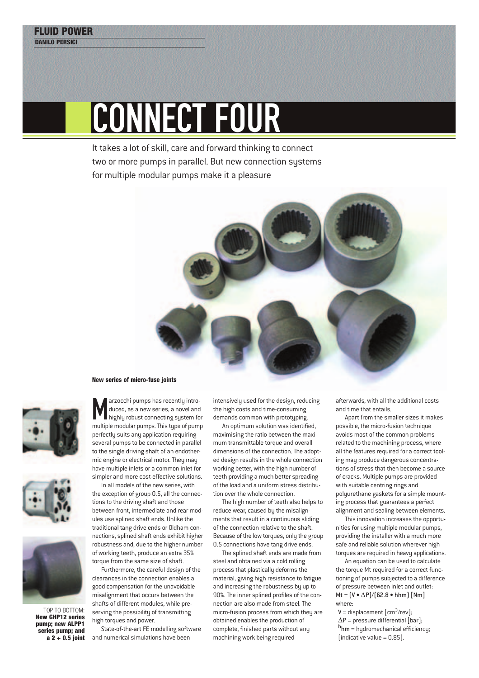## CONNECT FOUR

It takes a lot of skill, care and forward thinking to connect two or more pumps in parallel. But new connection systems for multiple modular pumps make it a pleasure









TOP TO BOTTOM: **New GHP12 series pump; new ALPP1 series pump; and a 2 + 0.5 joint**

Marzocchi pumps has recently intro-<br>duced, as a new series, a novel and<br>highly robust connecting system for<br>multiple modular pumps. This type of pump arzocchi pumps has recently introduced, as a new series, a novel and highly robust connecting system for perfectly suits any application requiring several pumps to be connected in parallel to the single driving shaft of an endothermic engine or electrical motor. They may have multiple inlets or a common inlet for simpler and more cost-effective solutions.

In all models of the new series, with the exception of group 0.5, all the connections to the driving shaft and those between front, intermediate and rear modules use splined shaft ends. Unlike the traditional tang drive ends or Oldham connections, splined shaft ends exhibit higher robustness and, due to the higher number of working teeth, produce an extra 35% torque from the same size of shaft.

Furthermore, the careful design of the clearances in the connection enables a good compensation for the unavoidable misalignment that occurs between the shafts of different modules, while preserving the possibility of transmitting high torques and power.

State-of-the-art FE modelling software and numerical simulations have been

intensively used for the design, reducing the high costs and time-consuming demands common with prototyping.

An optimum solution was identified, maximising the ratio between the maximum transmittable torque and overall dimensions of the connection. The adopted design results in the whole connection working better, with the high number of teeth providing a much better spreading of the load and a uniform stress distribution over the whole connection.

The high number of teeth also helps to reduce wear, caused by the misalignments that result in a continuous sliding of the connection relative to the shaft. Because of the low torques, only the group 0.5 connections have tang drive ends.

The splined shaft ends are made from steel and obtained via a cold rolling process that plastically deforms the material, giving high resistance to fatigue and increasing the robustness by up to 90%. The inner splined profiles of the connection are also made from steel. The micro-fusion process from which they are obtained enables the production of complete, finished parts without any machining work being required

afterwards, with all the additional costs and time that entails.

Apart from the smaller sizes it makes possible, the micro-fusion technique avoids most of the common problems related to the machining process, where all the features required for a correct tooling may produce dangerous concentrations of stress that then become a source of cracks. Multiple pumps are provided with suitable centring rings and polyurethane gaskets for a simple mounting process that guarantees a perfect alignment and sealing between elements.

This innovation increases the opportunities for using multiple modular pumps, providing the installer with a much more safe and reliable solution wherever high torques are required in heavy applications.

An equation can be used to calculate the torque Mt required for a correct functioning of pumps subjected to a difference of pressure between inlet and outlet: Mt =  $(V \cdot \Delta P)/(62.8 \cdot hhm)$  [Nm] where:

 $V =$  displacement  $\lfloor$  cm<sup>3</sup>/rev];  $\Delta P$  = pressure differential [bar]; h**hm** = hydromechanical efficiency;  $[indicate value = 0.85]$ .